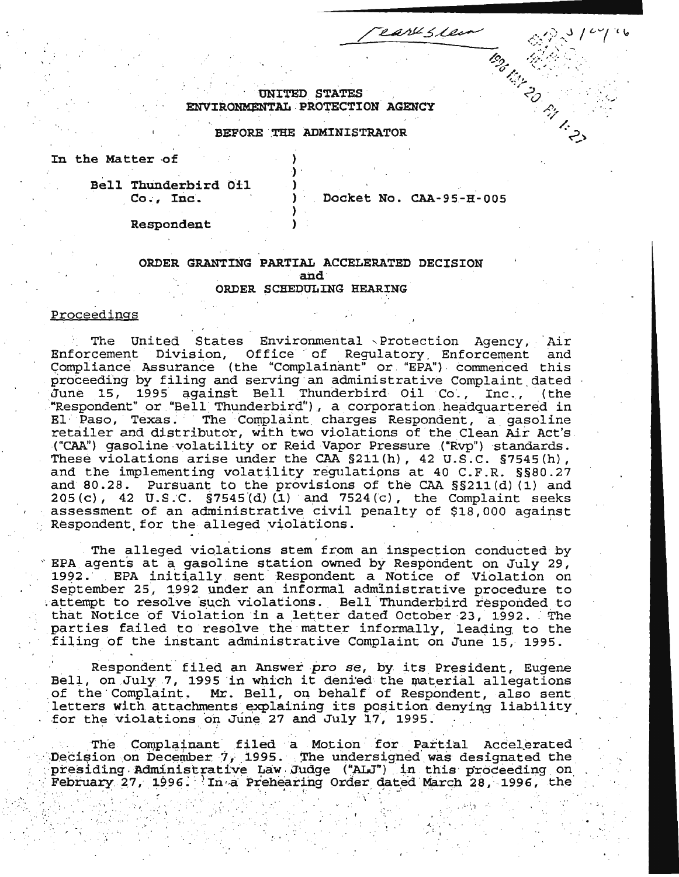earl sleer **Tenders Principal Report** 

**UNITED STATES** ENVIRONMENTAL PROTECTION AGENCY

### BEFORE THE ADMINISTRATOR

In the Matter of

Bell Thunderbird Oil  $Co., Inc.$ 

Docket No. CAA-95-H-005

Respondent

# ORDER GRANTING PARTIAL ACCELERATED DECISION and ORDER SCHEDULING HEARING

# Proceedings

The United States Environmental Protection Agency, Air Enforcement Division, Office of Regulatory Enforcement and Compliance Assurance (the "Complainant" or "EPA") commenced this proceeding by filing and serving an administrative Complaint dated June 15, 1995 against Bell Thunderbird Oil Co., Inc., (the "Respondent" or "Bell Thunderbird"), a corporation headquartered in El Paso, Texas. The Complaint charges Respondent, a gasoline retailer and distributor, with two violations of the Clean Air Act's ("CAA") gasoline volatility or Reid Vapor Pressure ("Rvp") standards. These violations arise under the CAA §211(h), 42 U.S.C. §7545(h), and the implementing volatility regulations at 40 C.F.R. §§80.27 and 80.28. Pursuant to the provisions of the CAA  $\S$  S211(d)(1) and 205(c), 42 U.S.C.  $\S$ 7545(d)(1) and 7524(c), the Complaint seeks assessment of an administrative civil penalty of \$18,000 against Respondent for the alleged violations.

The alleged violations stem from an inspection conducted by EPA agents at a gasoline station owned by Respondent on July 29, 1992. EPA initially sent Respondent a Notice of Violation on September 25, 1992 under an informal administrative procedure to attempt to resolve such violations. Bell Thunderbird responded to that Notice of Violation in a letter dated October 23, 1992. The parties failed to resolve the matter informally, leading to the filing of the instant administrative Complaint on June 15, 1995.

Respondent filed an Answer pro se, by its President, Eugene Bell, on July 7, 1995 in which it denied the material allegations of the Complaint. Mr. Bell, on behalf of Respondent, also sent letters with attachments explaining its position denying liability for the violations on June 27 and July 17, 1995.

The Complainant filed a Motion for Partial Accelerated Decision on December 7, 1995. The undersigned was designated the presiding Administrative Law Judge ("ALJ") in this proceeding on February 27, 1996. In a Prehearing Order dated March 28, 1996, the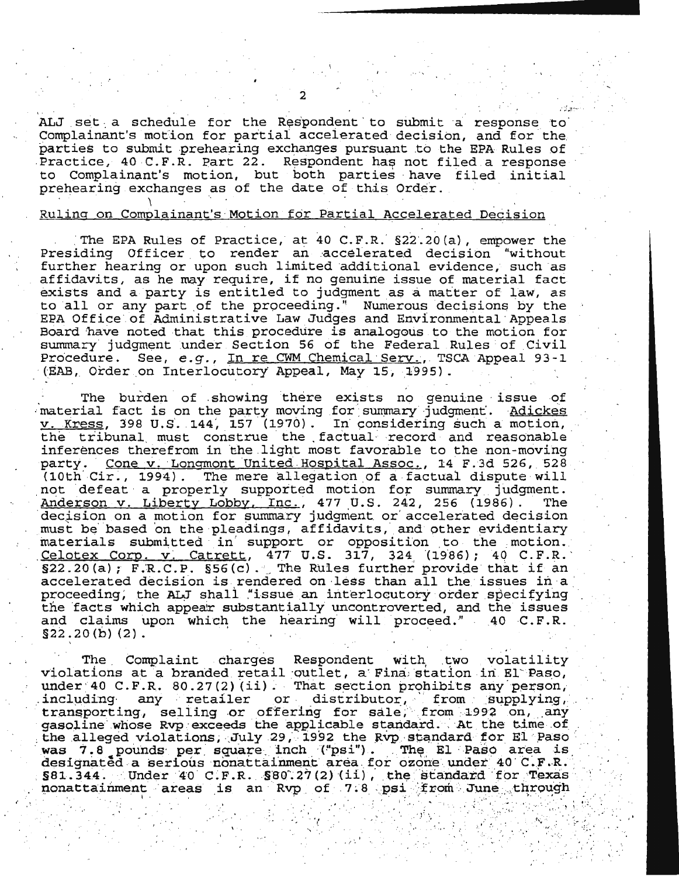ALJ set a schedule for the Respondent to submit a response to Complainant's motion for partial accelerated decision, and for the parties to submit prehearing exchanges pursuant to the EPA Rules of Practice, 40 C.F.R. Part 22. Respondent has not filed a response to Complainant's motion, but both parties have filed initial prehearing exchanges as of the date of this Order.

### Ruling on Complainant's Motion for Partial Accelerated Decision

. . . The EPA Rules of Practice, at 40 C.F.R. §22.20(a), empower the Presiding Officer to render an accelerated decision "without further hearing or upon such limited additional evidence, such as affidavits, as he may require, it no genuine issue of material fact. arricavits, as he may require, if no gendine issue of material ractions. exists and a party is entitied to judgment as a matter of law, as<br>to all or any part of the proceeding." Numerous decisions by the EPA Office of Administrative Law Judges and Environmental Appeals Board have noted that this procedure is analogous to the motion for summary judgment under Section 56 of the Federal Rules of Civil Procedure. See, e.g., In re CWM Chemical Serv., TSCA Appeal 93-1 (EAB, Order on Interlocutory Appeal, May 15, 1995).

The burden of showing there exists no genuine issue of material fact is on the party moving for summary judgment. Adickes  $v.$  Kress, 398 U.S. 144, 157 (1970). In considering such a motion, the tribunal must construe the factual record and reasonable inferences therefrom in the .light most favorable to the non-moving party. Cone v. Longmont United Hospital Assoc., 14 F.3d 526, 528 (10th  $Cir.$ , 1994). The mere allegation of a factual dispute will not defeat a properly supported motion for summary judgment.<br>Anderson v. Liberty Lobby, Inc., 477 U.S. 242, 256 (1986). The Anderson v. Liberty Lobby, Inc., 477 U.S. 242, 256 (1986). decision on a motion for summary judgment or accelerated decision must be based on the pleadings, affidavits, and other evidentiary materials submitted in support or opposition to the motion.<br>Celotex Corp. v. Catrett, 477 U.S. 317, 324 (1986); 40 C.F.R.  $\frac{C ELOE K \cdot CCLD. V. \quad \text{(a)} ECLC}$ ,  $\frac{4}{7}$ ,  $\frac{1}{3}$ ,  $\frac{1}{3}$ ,  $\frac{1}{3}$ ,  $\frac{1}{3}$ ,  $\frac{1}{3}$ ,  $\frac{1}{3}$ ,  $\frac{1}{3}$ ,  $\frac{1}{3}$ ,  $\frac{1}{3}$ ,  $\frac{1}{3}$ ,  $\frac{1}{3}$ ,  $\frac{1}{3}$ ,  $\frac{1}{3}$ ,  $\frac{1}{3}$ ,  $\frac{1}{3}$ ,  $\frac{1}{3}$ ,  $\frac$ accelerated decision is rendered on less than all the issues in a proceeding, the ALJ shall "issue an interlocutory order specifying the facts which appear substantially uncontroverted, and the issues and claims upon which the hearing will proceed." 40 C.F.R.  $$22.20(b)(2).$ 

The Complaint charges Respondent with two volatility violations at a branded retail outlet, a Fina station in El Paso, under 40 C.F.R. 80.27(2)(ii). That section prohibits any person, including any retailer or distributor, from supplying,<br>transporting, selling or offering for sale, from 1992 on, any<br>gasoline whose Rvp exceeds the applicable standard. At the time of from supplying, the alleged violations, July 29, 1992 the Rvp standard for El Paso was 7.8 pounds per square inch ("psi"). The El Paso area is designated a serious nonattainment area for ozone under 40 C.F.R.  $$81.344.$  Under 40 C.F.R.  $$80.27(2)(11)$ , the standard for Texas nonattainment areas is an Rvp of 7.8 psi from June through

'·

 $, \mathbb{R}$ 

*: .* . ..

'· . -'

' . . ' ) : ~·. : ·. ~ : . : ~ . ' .. ' . •' . . \ l .. : . , • .

 $\omega_{\alpha}^{\gamma}$ 

*:·* ' ,'. . · .

r,~ ... . ·'

2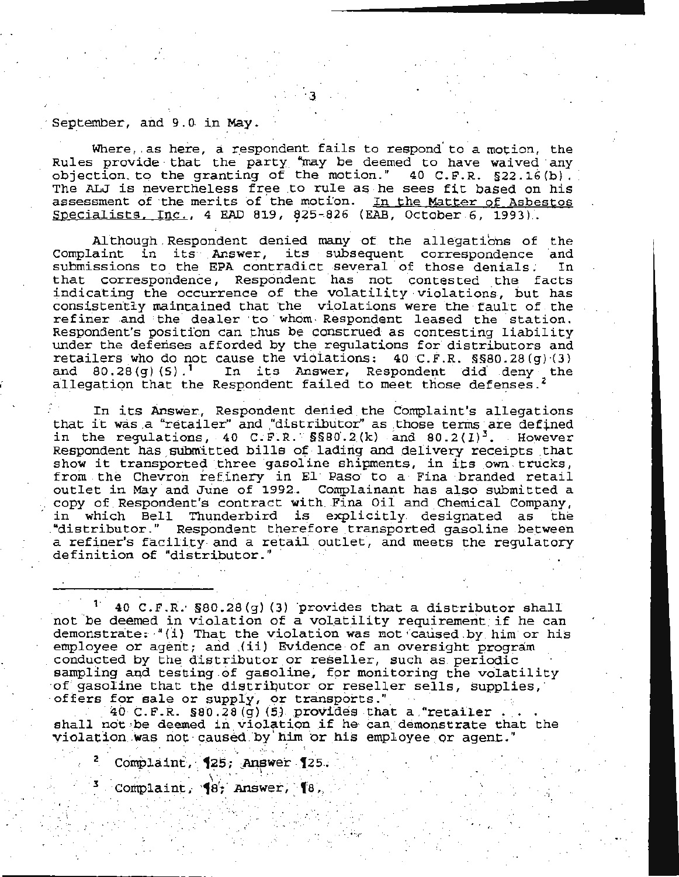### September, and 9.0 in May.

Where, as here, a respondent fails to respond to a motion, the Rules provide that the party "may be deemed to have waived any objection to the granting of the motion." 40 C.F.R. §22.16(b). The ALJ is nevertheless free to rule as he sees fit based on his assessment of the merits of the motion. In the Matter of Asbestos Specialists,  $Inc., 4 EAD 819, 825-826 (EAB, October 6, 1993).$ 

Although Respondent denied many of the allegations of the Complaint in its Answer, its subsequent correspondence and submissions to the EPA contradict several of those denials. In that correspondence, Respondent has not contested the facts indicating the occurrence of the volatility violations, but has consistently maintained that the violations were the fault of the refiner and the dealer to whom Respondent leased the station. Respondent's position can thus be construed as contesting liability under the defenses afforded by the regulations for distributors and retailers who do not cause the violations:  $40$  C.F.R.  $\S 800.28(g)(3)$ and  $80.28(g)(5)$ .<sup>1</sup> In its Answer, Respondent did deny the allegation that the Respondent failed to meet those defenses.<sup>2</sup>

In its Answer, Respondent denied the Complaint's allegations that it was a "retailer" and "distributor" as those terms are defined in the regulations, 40 C.F.R.  $$880.2(k)$  and  $80.2(l)^3$ . However Respondent has submitted bills of lading and delivery receipts that show it transported three gasoline shipments, in its own trucks, from the Chevron refinery in El Paso to a Fina branded retail outlet in May and June of 1992. Complainant has also submitted a copy of Respondent's contract with Fina Oil and Chemical Company, in which Bell Thunderbird is explicitly designated as the "distributor." Respondent therefore transported gasoline between a refiner's facility and a retail outlet, and meets the regulatory definition of "distributor."

<sup>1</sup> 40 C.F.R.  $\S 80.28(g)$  (3) provides that a distributor shall not be deemed in violation of a volatility requirement if he can demonstrate: "(i) That the violation was not caused by him or his employee or agent; and (ii) Evidence of an oversight program conducted by the distributor or reseller, such as periodic sampling and testing of gasoline, for monitoring the volatility of gasoline that the distributor or reseller sells, supplies, offers for sale or supply, or transports."

40 C.F.R.  $$80.28(g)$  (5) provides that a "retailer shall not be deemed in violation if he can demonstrate that the violation was not caused by him or his employee or agent."

**Contractor** 

Complaint, 125, Answer 125.

Complaint,  $\{8\}$  Answer,  $\{8\}$ ,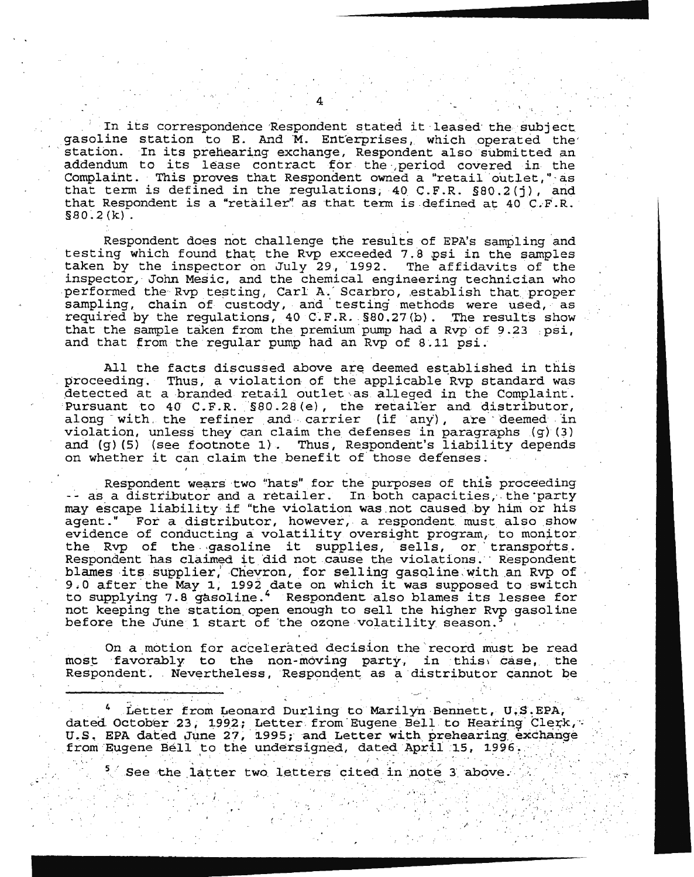In its correspondence Respondent stated it leased the subject gasoline station to E. And M. Enterprises, which operated the'<br>station. In its prehearing exchange, Respondent also submitted an In its prehearing exchange, Respondent also submitted an addendum to its lease contract for the period covered in the Complaint. This proves that Respondent owned a "retail outlet," as that term is defined in the regulations; 40 C.F.R. §80.2(j), and that Respondent is a "retailer" as that term is defined at  $40^\circ$  C.F.R.  $$80.2(k)$ .

Respondent does not challenge the results of EPA's sampling and testing which found that the Rvp exceeded 7.8 psi in the samples<br>taken by the inspector on July 29, 1992. The affidavits of the taken by the inspector on July 29, 1992. inspector, John Mesic, and the chemical engineering technician who performed the Rvp testing, Carl A. Scarbro, establish that proper polisimations he represently, call in Sealing, encant made proper required by the regulations, 40 C.F.R.  $$80.27(b)$ . The results show that the sample taken from the premium pump had a Rvp of 9.23 .psi, and that from the regular pump had an Rvp of 8.11 psi.

All the facts discussed above are deemed established in this proceeding. Thus, a violation of the applicable Rvp standard was detected at a branded retail outlet as alleged in the Complaint. Pursuant to  $40$  C.F.R.  $$80.28(e)$ , the retailer and distributor, along with the refiner and carrier (if any), are deemed in violation, unless they can claim the. defenses in paragraphs (g) (3) and (g) (5) (see footnote 1). Thus, Respondent's liability depends on whether it can claim the benefit of those defenses.

Respondent wears two "hats" for the purposes of this proceeding -- as a distributor and a retailer. In both capacities, the party may escape liability if "the violation was not caused by him or his agent." For a distributor, however, a respondent must also show evidence of conducting a volatility oversight program, to monitor the Rvp of the gasoline it supplies, sells, or transports. Respondent has claimed it did not cause the violations. Respondent blames its supplier, Cheyron, for selling gasoline with an Rvp of biames its supplier, Chevron, for selling gasoline with an kvp of<br>9.0 after the May 1, 1992 date on which it was supposed to switch to supplying 7.8 gasoline. 4 Respondent also blames its lessee for not keeping the station open enough to sell the higher Rvp gasoline before the June 1 start of the ozone volatility season.

On a motion for accelerated decision the record must be read most favorably to the non-moving party, in this case, the Respondent. Nevertheless, Respondent as a distributor cannot be

4 Letter from Leonard Durling to Marilyn Bennett, U.S.EPA, dated October 23, 1992; Letter from Eugene Bell to Hearing Clerk, U.S. EPA dated June 27, 1995; and Letter with prehearing exchange from Eugene Bell to the undersigned, dated April 15, 1996,

 $.5\%$ 

 $\frac{1}{\sqrt{2}}$ 

 $\frac{1}{\sqrt{2}}\left(\frac{1}{\sqrt{2}}\right)^{2}=\frac{1}{\sqrt{2}}\left(\frac{1}{\sqrt{2}}\right)^{2}$ 

FY 2010 AFRANCH THAT IN 1752 102 See the latter two letters cited in note 3 above.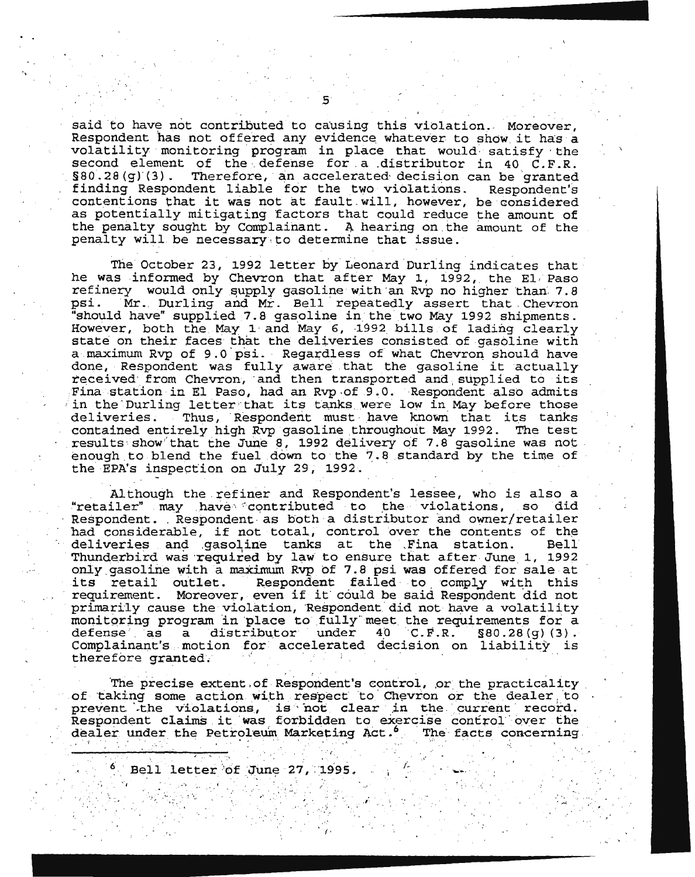said to have not contributed to causing this violation. Moreover, Respondent has not offered any evidence whatever to show it has a volatility monitoring program in place that would satisfy the second element of the defense for a distributor in 40  $C.F.R.$ <br>§80.28(q)(3). Therefore, an accelerated decision can be granted Therefore, an accelerated decision can be granted finding Respondent liable for the two violations. Respondent's contentions that it was not at fault will, however, be considered as potentially mitigating factors that could reduce the amount of the penalty sought by Complainant. A hearing on the amount of the penalty will be necessary to determine that issue.

The October 23, 1992 letter by Leonard Durling indicates that he was informed by Chevron that after May 1, 1992, the El, Paso refinery would only supply gasoline with an Rvp no higher than 7.8<br>psi. Mr. Durling and Mr. Bell repeatedly assert that Chevron Mr. Durling and Mr. Bell repeatedly assert that Chevron "should have" supplied 7. 8 gasoline in the two May 1992 shipments. However, both the May 1 and May 6, 1992 bills of lading clearly state on their faces that the deliveries consisted of gasoline with a maximum Rvp of 9.0 psi. Regardless of what Chevron should have done, Respondent was fully aware that the gasoline it actually received from Chevron, and then transported and supplied to its Fina station in El Paso, had an Rvp -of 9 .0. ·Respondent also admits in the Durling letter that its tanks were low in May before those deliveries. Thus, Respondent must have known that its tanks Thus, Respondent must have known that its tanks contained entirely high Rvp gasoline throughout May 1992. The test results show that the June 8, 1992 delivery of 7.8 gasoline was not enough to blend the fuel down to the 7.8 standard by the time of the EPA's inspection on July 29, 1992.

Although the refiner and Respondent's lessee, who is also a<br>iler" may have contributed to the violations, so did "retailer" may have contributed to the violations, so Respondent. Respondent as both a distributor and owner/retailer had considerable, if not total, control over the contents of the deliveries and gasoline tanks at the Fina station. Thunderbird was required by law to ensure that after June 1, 1992 only gasoline with a maximum Rvp of 7.8 psi was offered for sale at<br>its retail outlet. Respondent failed to comply with this Respondent failed to comply with this requirement. Moreover, even if it· could be said Respondent did not primarily cause the violation, Respondent did not have a volatility monitoring program in place to fully meet the requirements for a moniteding program in prace to ruir, meet the requirements for a detense as a distinution under to C.F.R. Sov.2019/13/.<br>Complainant's motion for accelerated decision on liability is therefore granted. · .. ·

The precise extent of Respondent's control, or the practicality of taking some action with respect to Chevron or the dealer to of taking some action with respect to Chevron or the dealer to<br>prevent the violations, is not clear in the current record. prevent the violations, is not clear in the current record.<br>Respondent claims it was forbidden to exercise control over the dealer under the Petroleum Marketing Act.<sup>6</sup> The facts concerning.

·' .·· *.·:* . . • .·

(.

., ,,· .... . . *. 1 ·* 

 $\mathcal{L}^{\text{L}}_{\text{L}}$ 

-·-..

··:

 $^6$  Bell letter of June 27, 1995.

 $\cdot$  ,  $\cdot$  ,  $\cdot$  ,  $\cdot$  ,  $\cdot$  ,  $\cdot$  ,  $\cdot$  ,  $\cdot$  ,  $\cdot$  ,  $\cdot$  ,  $\cdot$  ,  $\cdot$  ,  $\cdot$  ,  $\cdot$  ,  $\cdot$  ,  $\cdot$  ,  $\cdot$  ,  $\cdot$  ,  $\cdot$  ,  $\cdot$  ,  $\cdot$  ,  $\cdot$  ,  $\cdot$  ,  $\cdot$  ,  $\cdot$  ,  $\cdot$  ,  $\cdot$  ,  $\cdot$  ,  $\cdot$  ,  $\cdot$  ,  $\cdot$  ,  $\cdot$ . In the second  $\mathbb{N}$  is the second  $\mathbb{N}$ 

; .. ... . *··r.'* 

5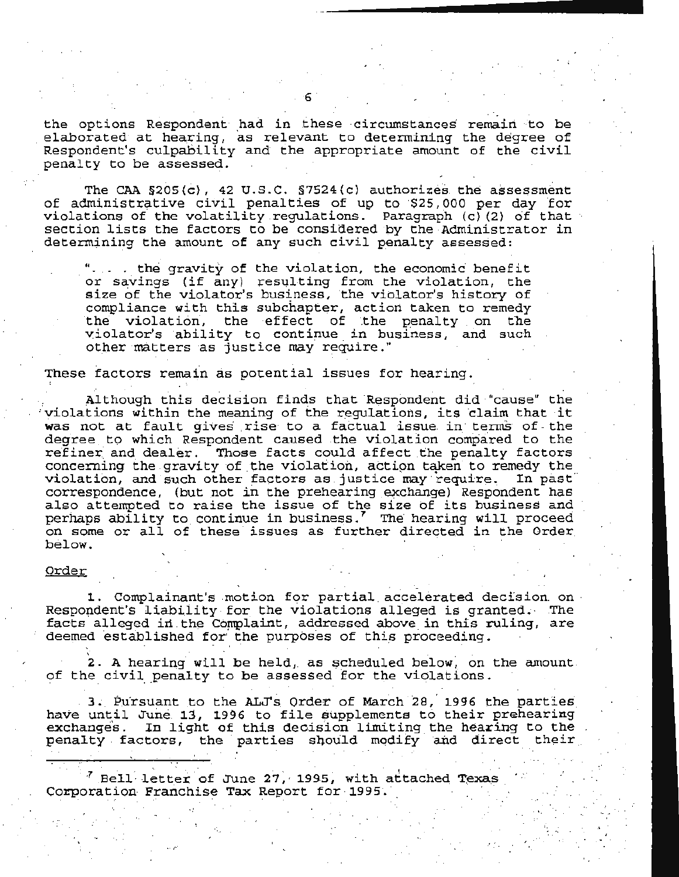the options Respondent had in these circumstances remain to be elaborated at hearing, as relevant to determining the degree of Respondent's culpability and the appropriate amount of the civil penalty to be assessed.

The CAA §205(c), 42 U.S.C. §7524(c) authorizes the assessment of administrative civil penalties of up to \$25,000 per day for<br>violations of the volatility regulations. Paragraph (c)(2) of that section lists the factors to be considered by the Administrator in determining the amount of any such civil penalty assessed:

"... . the gravity of the violation, the economic benefit or savings (if any) resulting from the violation, the<br>size of the violator's business, the violator's history of compliance with this subchapter, action taken to remedy the violation, the effect of the penalty on the violator's ability to continue in business, and such other matters as justice may require."

These factors remain as potential issues for hearing.

Although this decision finds that Respondent did "cause" the violations within the meaning of the requlations, its claim that it was not at fault gives rise to a factual issue in terms of the degree to which Respondent caused the violation compared to the refiner and dealer. Those facts could affect the penalty factors concerning the gravity of the violation, action taken to remedy the violation, and such other factors as justice may require. In past correspondence, (but not in the prehearing exchange) Respondent has also attempted to raise the issue of the size of its business and perhaps ability to continue in business.' The hearing will proceed on some or all of these issues as further directed in the Order below.

#### Order

1. Complainant's motion for partial accelerated decision on Respondent's liability for the violations alleged is granted. The facts alleged in the Complaint, addressed above in this ruling, are deemed established for the purposes of this proceeding.

2. A hearing will be held, as scheduled below, on the amount. of the civil penalty to be assessed for the violations.

3. Pursuant to the ALJ's Order of March 28, 1996 the parties have until June 13, 1996 to file supplements to their prehearing exchanges. In light of this decision limiting the hearing to the penalty factors, the parties should modify and direct their

 $^7$  Bell letter of June 27, 1995, with attached Texas Corporation Franchise Tax Report for 1995.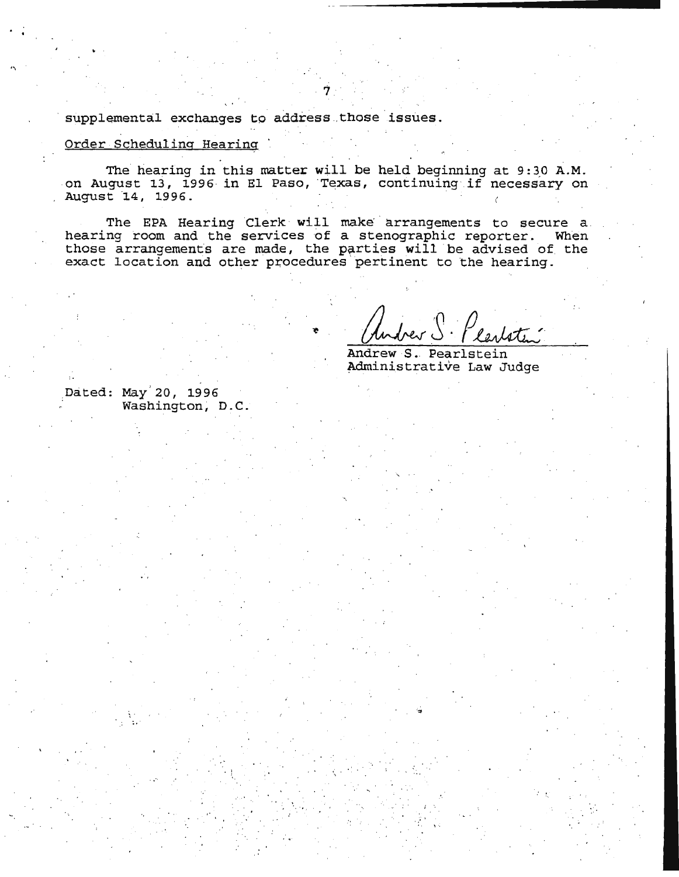supplemental exchanges to address those issues.

# Order Scheduling Hearing

 $\ddot{\phantom{1}}$ 

The hearing in this matter will be held beginning at 9:30 A.M. on August 13, 1996 in El Paso, Texas, continuing if necessary on August 14, 1996.

 $\dot{7}$  .

The EPA Hearing Clerk will make arrangements to secure a hearing room and the services of a stenographic reporter. When those arrangements are made, the parties will be advised of the exact location and other procedures pertinent to the hearing.

Andrew S. Pearlstein Administrative Law Judge

Dated: May 20, 1996 Washington, D.C.

;,

• l,

 $\sqrt{2\pi}$